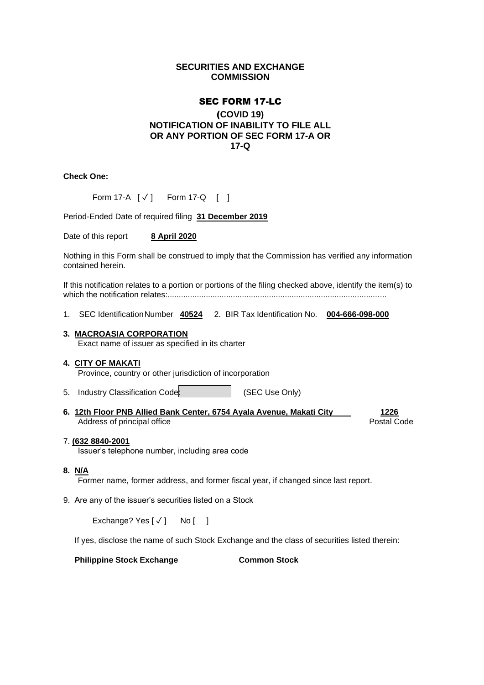# **SECURITIES AND EXCHANGE COMMISSION**

## SEC FORM 17-LC

# (**COVID 19) NOTIFICATION OF INABILITY TO FILE ALL OR ANY PORTION OF SEC FORM 17-A OR 17-Q**

**Check One:**

|  |  | Form 17-A $[\sqrt{]}$ Form 17-Q $[ ]$ |  |  |
|--|--|---------------------------------------|--|--|
|--|--|---------------------------------------|--|--|

Period-Ended Date of required filing **31 December 2019**

Date of this report **8 April 2020**

Nothing in this Form shall be construed to imply that the Commission has verified any information contained herein.

If this notification relates to a portion or portions of the filing checked above, identify the item(s) to which the notification relates:.................................................................................................

1. SEC IdentificationNumber **40524** 2. BIR Tax Identification No. **004-666-098-000**

### **3. MACROASIA CORPORATION**

Exact name of issuer as specified in its charter

### **4. CITY OF MAKATI**

Province, country or other jurisdiction of incorporation

- 5. Industry Classification Code: (SEC Use Only)
- **6. 12th Floor PNB Allied Bank Center, 6754 Ayala Avenue, Makati City 1226** Address of principal office **Postal Code** Postal Code Postal Code

### 7. **(632 8840-2001**

Issuer's telephone number, including area code

### **8. N/A**

Former name, former address, and former fiscal year, if changed since last report.

9. Are any of the issuer's securities listed on a Stock

Exchange? Yes  $\lceil \sqrt{\ } \rceil$  No  $\lceil$  1

If yes, disclose the name of such Stock Exchange and the class of securities listed therein:

**Philippine Stock Exchange Common Stock**